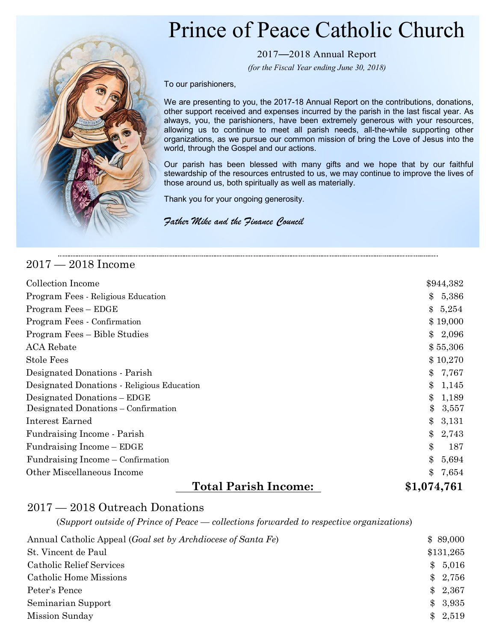## Prince of Peace Catholic Church



2017—2018 Annual Report

*(for the Fiscal Year ending June 30, 2018)*

To our parishioners,

We are presenting to you, the 2017-18 Annual Report on the contributions, donations, other support received and expenses incurred by the parish in the last fiscal year. As always, you, the parishioners, have been extremely generous with your resources, allowing us to continue to meet all parish needs, all-the-while supporting other organizations, as we pursue our common mission of bring the Love of Jesus into the world, through the Gospel and our actions.

Our parish has been blessed with many gifts and we hope that by our faithful stewardship of the resources entrusted to us, we may continue to improve the lives of those around us, both spiritually as well as materially.

Thank you for your ongoing generosity.

*Father Mike and the Finance Council*

## 2017 — 2018 Income

| Collection Income                          | \$944,382              |
|--------------------------------------------|------------------------|
| Program Fees - Religious Education         | $\mathbf{\$}$<br>5,386 |
| Program Fees – EDGE                        | \$5,254                |
| Program Fees - Confirmation                | \$19,000               |
| Program Fees – Bible Studies               | 2,096<br>$\mathcal{S}$ |
| <b>ACA</b> Rebate                          | \$55,306               |
| <b>Stole Fees</b>                          | \$10,270               |
| Designated Donations - Parish              | $\mathbf{\$}$<br>7,767 |
| Designated Donations - Religious Education | 1,145<br>$\mathbf{\$}$ |
| Designated Donations – EDGE                | 1,189<br>$\mathbf{\$}$ |
| Designated Donations – Confirmation        | \$<br>3,557            |
| Interest Earned                            | $\$\$<br>3,131         |
| Fundraising Income - Parish                | $\$\$<br>2,743         |
| Fundraising Income – EDGE                  | \$<br>187              |
| Fundraising Income – Confirmation          | $\$\$<br>5,694         |
| Other Miscellaneous Income                 | $\mathbf{\$}$<br>7,654 |
| <b>Total Parish Income:</b>                | \$1,074,761            |

## 2017 — 2018 Outreach Donations

(*Support outside of Prince of Peace — collections forwarded to respective organizations*)

| Annual Catholic Appeal ( <i>Goal set by Archdiocese of Santa Fe</i> ) | \$89,000  |
|-----------------------------------------------------------------------|-----------|
| St. Vincent de Paul                                                   | \$131,265 |
| Catholic Relief Services                                              | \$5,016   |
| Catholic Home Missions                                                | \$2,756   |
| Peter's Pence                                                         | \$2,367   |
| Seminarian Support                                                    | \$3,935   |
| Mission Sunday                                                        | \$2,519   |